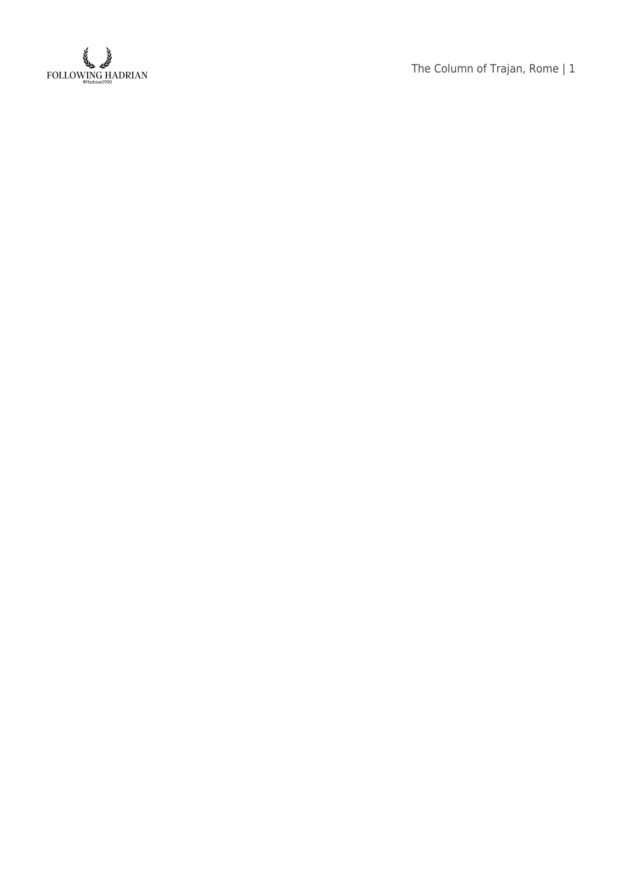

The Column of Trajan, Rome | 1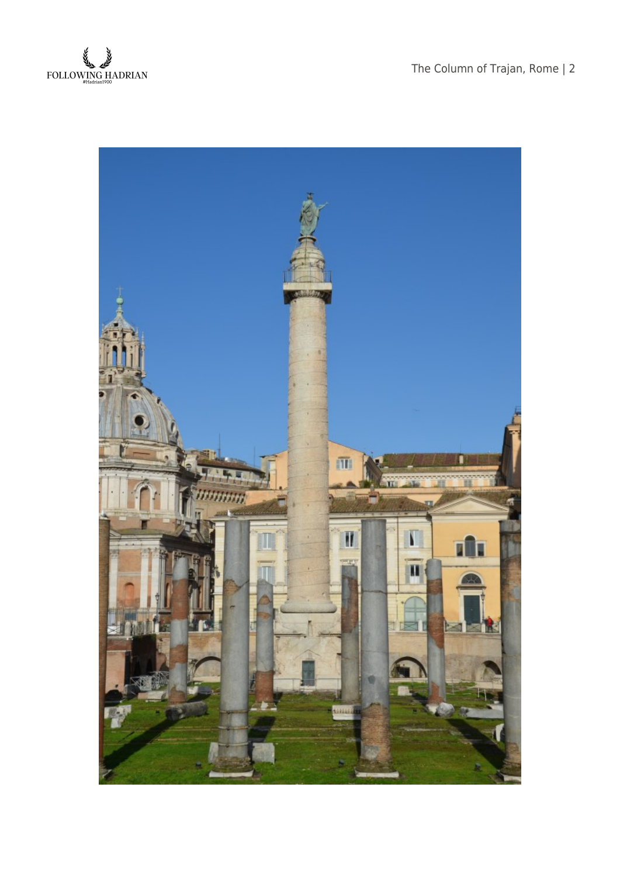

The Column of Trajan, Rome | 2